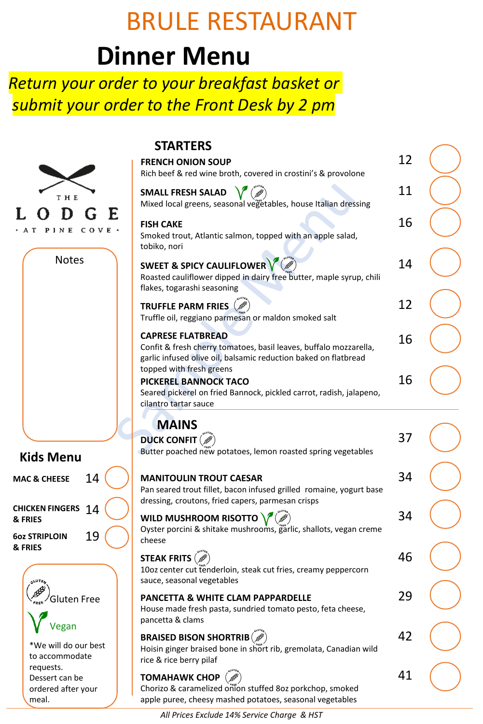# BRULE RESTAURANT

## **Dinner Menu**

#### *Return your order to your breakfast basket or submit your order to the Front Desk by 2 pm*

|                                              | S                                                                              |
|----------------------------------------------|--------------------------------------------------------------------------------|
|                                              | <b>FREN</b><br>Rich I                                                          |
| THE                                          | SMA<br>Mixe                                                                    |
| L<br>E<br>D<br>G<br>PINE COVE<br>$\mathbf T$ | <b>FISH</b><br>Smok<br>tobik                                                   |
| <b>Notes</b>                                 | <b>SWE</b><br>Roast<br>flakes                                                  |
|                                              | <b>TRUF</b><br>Truffl                                                          |
|                                              | <b>CAPF</b><br>Confi<br>garlic<br>toppe<br><b>PICK</b><br>Seare<br>cilant<br>ı |
|                                              | <b>DUCI</b>                                                                    |
| <b>Kids Menu</b>                             | <b>Butte</b>                                                                   |
| 14<br><b>MAC &amp; CHEESE</b>                | <b>MAN</b><br>Pan s<br>dress                                                   |
| <b>CHICKEN FINGERS</b><br>14<br>& FRIES      | WILD                                                                           |
| 19<br><b>602 STRIPLOIN</b><br>& FRIES        | Oyste<br>chees                                                                 |
|                                              | STEA<br>10 <sub>oz</sub><br>sauce                                              |
| <sup>து</sup> ⁄Gluten Free<br>/egan          | <b>PAN</b><br>Hous<br>pance                                                    |
| *We will do our best<br>to accommodate       | BRAI<br>Hoisii<br>rica R                                                       |

requests. Dessert can be ordered after your

meal.

**STARTERS**

| Rich beef & red wine broth, covered in crostini's & provolone                                                                                                    | 12 |  |
|------------------------------------------------------------------------------------------------------------------------------------------------------------------|----|--|
| <b>SMALL FRESH SALAD</b><br>Mixed local greens, seasonal vegetables, house Italian dressing                                                                      | 11 |  |
| <b>FISH CAKE</b><br>Smoked trout, Atlantic salmon, topped with an apple salad,<br>tobiko, nori                                                                   | 16 |  |
| <b>SWEET &amp; SPICY CAULIFLOWER</b><br>Roasted cauliflower dipped in dairy free butter, maple syrup, chili<br>flakes, togarashi seasoning                       | 14 |  |
| <b>TRUFFLE PARM FRIES</b><br>Truffle oil, reggiano parmesan or maldon smoked salt                                                                                | 12 |  |
| <b>CAPRESE FLATBREAD</b><br>Confit & fresh cherry tomatoes, basil leaves, buffalo mozzarella,<br>garlic infused olive oil, balsamic reduction baked on flatbread | 16 |  |
| topped with fresh greens<br><b>PICKEREL BANNOCK TACO</b><br>Seared pickerel on fried Bannock, pickled carrot, radish, jalapeno,<br>cilantro tartar sauce         | 16 |  |
| <b>MAINS</b>                                                                                                                                                     |    |  |
| DUCK CONFIT $(\mathscr{P})$<br>Butter poached new potatoes, lemon roasted spring vegetables                                                                      | 37 |  |
|                                                                                                                                                                  |    |  |
| <b>MANITOULIN TROUT CAESAR</b><br>Pan seared trout fillet, bacon infused grilled romaine, yogurt base<br>dressing, croutons, fried capers, parmesan crisps       | 34 |  |
| WILD MUSHROOM RISOTTO<br>Oyster porcini & shitake mushrooms, garlic, shallots, vegan creme                                                                       | 34 |  |
| cheese<br><b>STEAK FRITS (B)</b><br>10oz center cut tenderloin, steak cut fries, creamy peppercorn                                                               | 46 |  |
| sauce, seasonal vegetables<br>PANCETTA & WHITE CLAM PAPPARDELLE<br>House made fresh pasta, sundried tomato pesto, feta cheese,<br>pancetta & clams               | 29 |  |
| <b>BRAISED BISON SHORTRIB</b><br>Hoisin ginger braised bone in short rib, gremolata, Canadian wild<br>rice & rice berry pilaf                                    | 42 |  |

*All Prices Exclude 14% Service Charge & HST*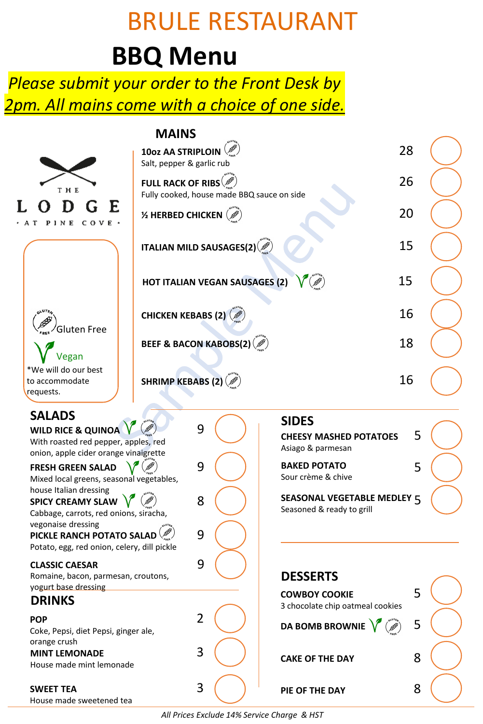# BRULE RESTAURANT

### **BBQ Menu**

### *Please submit your order to the Front Desk by 2pm. All mains come with a choice of one side.*

|                                                                                                                                 | <b>MAINS</b><br>10oz AA STRIPLOIN<br>Salt, pepper & garlic rub      |                                            | 28                                                       |  |
|---------------------------------------------------------------------------------------------------------------------------------|---------------------------------------------------------------------|--------------------------------------------|----------------------------------------------------------|--|
| THE                                                                                                                             | <b>FULL RACK OF RIBS</b>                                            | Fully cooked, house made BBQ sauce on side | 26                                                       |  |
| n<br>$C$ O V E $\cdot$<br>1 N E                                                                                                 | <b>1/2 HERBED CHICKEN</b> $\left(\mathcal{B}^{\hat{\theta}}\right)$ |                                            | 20                                                       |  |
|                                                                                                                                 | ITALIAN MILD SAUSAGES(2)                                            |                                            | 15                                                       |  |
|                                                                                                                                 | <b>HOT ITALIAN VEGAN SAUSAGES (2)</b>                               |                                            | 15                                                       |  |
|                                                                                                                                 | <b>CHICKEN KEBABS (2)</b>                                           |                                            | 16                                                       |  |
| Gluten Free<br>Vegan                                                                                                            | BEEF & BACON KABOBS(2) $(\mathscr{B})$                              |                                            | 18                                                       |  |
| *We will do our best<br>to accommodate<br>requests.                                                                             | SHRIMP KEBABS (2) $(\mathscr{B})$                                   |                                            | 16                                                       |  |
| <b>SALADS</b><br><b>WILD RICE &amp; QUINOA</b><br>With roasted red pepper, apples, red<br>onion, apple cider orange vinaigrette | 9                                                                   | <b>SIDES</b><br>Asiago & parmesan          | 5<br><b>CHEESY MASHED POTATOES</b>                       |  |
| <b>FRESH GREEN SALAD</b><br>Mixed local greens, seasonal vegetables,                                                            | 9                                                                   | <b>BAKED POTATO</b><br>Sour crème & chive  | 5                                                        |  |
| house Italian dressing<br>SPICY CREAMY SLAW<br>Cabbage, carrots, red onions, siracha,<br>vegonaise dressing                     | 8                                                                   |                                            | SEASONAL VEGETABLE MEDLEY 5<br>Seasoned & ready to grill |  |
| PICKLE RANCH POTATO SALAD<br>Potato, egg, red onion, celery, dill pickle                                                        | 9                                                                   |                                            |                                                          |  |
| <b>CLASSIC CAESAR</b><br>Romaine, bacon, parmesan, croutons,<br>yogurt base dressing                                            | 9                                                                   | <b>DESSERTS</b>                            |                                                          |  |
| <b>DRINKS</b>                                                                                                                   |                                                                     | <b>COWBOY COOKIE</b>                       | 5<br>3 chocolate chip oatmeal cookies                    |  |
| <b>POP</b><br>Coke, Pepsi, diet Pepsi, ginger ale,                                                                              | $\overline{2}$                                                      |                                            | 5<br>DA BOMB BROWNIE                                     |  |
| orange crush<br><b>MINT LEMONADE</b><br>House made mint lemonade                                                                | 3                                                                   | <b>CAKE OF THE DAY</b>                     | 8                                                        |  |
| <b>SWEET TEA</b><br>House made sweetened tea                                                                                    | 3                                                                   | PIE OF THE DAY                             | 8                                                        |  |